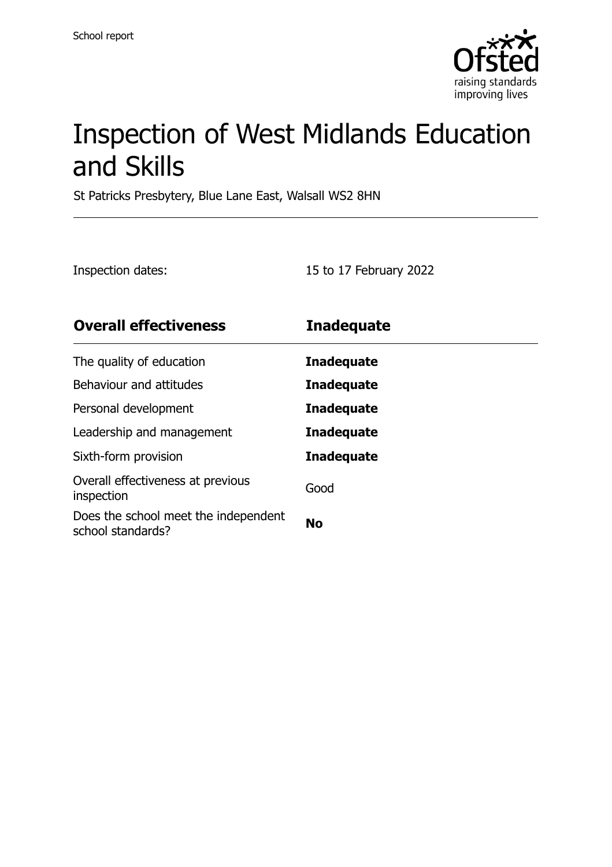

# Inspection of West Midlands Education and Skills

St Patricks Presbytery, Blue Lane East, Walsall WS2 8HN

Inspection dates: 15 to 17 February 2022

| <b>Overall effectiveness</b>                              | <b>Inadequate</b> |
|-----------------------------------------------------------|-------------------|
| The quality of education                                  | <b>Inadequate</b> |
| Behaviour and attitudes                                   | <b>Inadequate</b> |
| Personal development                                      | <b>Inadequate</b> |
| Leadership and management                                 | <b>Inadequate</b> |
| Sixth-form provision                                      | <b>Inadequate</b> |
| Overall effectiveness at previous<br>inspection           | Good              |
| Does the school meet the independent<br>school standards? | <b>No</b>         |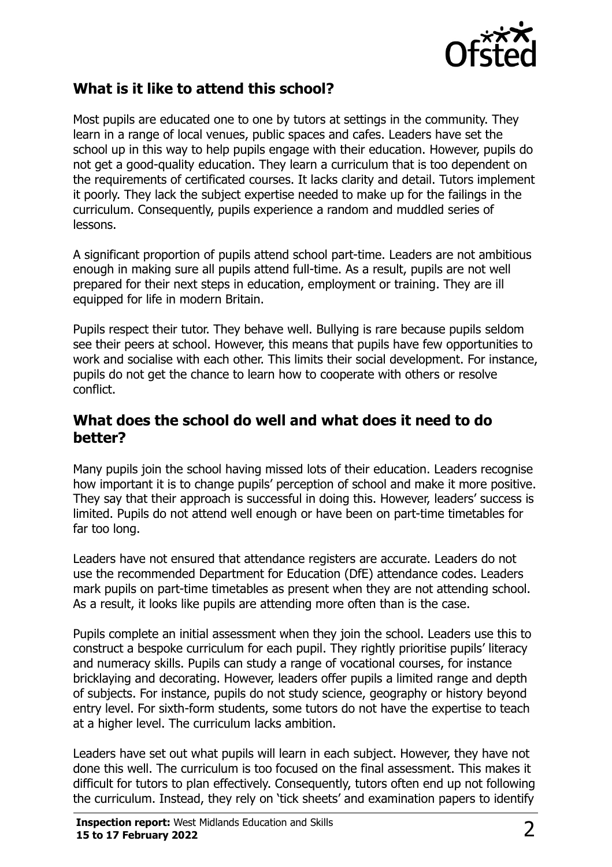

# **What is it like to attend this school?**

Most pupils are educated one to one by tutors at settings in the community. They learn in a range of local venues, public spaces and cafes. Leaders have set the school up in this way to help pupils engage with their education. However, pupils do not get a good-quality education. They learn a curriculum that is too dependent on the requirements of certificated courses. It lacks clarity and detail. Tutors implement it poorly. They lack the subject expertise needed to make up for the failings in the curriculum. Consequently, pupils experience a random and muddled series of lessons.

A significant proportion of pupils attend school part-time. Leaders are not ambitious enough in making sure all pupils attend full-time. As a result, pupils are not well prepared for their next steps in education, employment or training. They are ill equipped for life in modern Britain.

Pupils respect their tutor. They behave well. Bullying is rare because pupils seldom see their peers at school. However, this means that pupils have few opportunities to work and socialise with each other. This limits their social development. For instance, pupils do not get the chance to learn how to cooperate with others or resolve conflict.

### **What does the school do well and what does it need to do better?**

Many pupils join the school having missed lots of their education. Leaders recognise how important it is to change pupils' perception of school and make it more positive. They say that their approach is successful in doing this. However, leaders' success is limited. Pupils do not attend well enough or have been on part-time timetables for far too long.

Leaders have not ensured that attendance registers are accurate. Leaders do not use the recommended Department for Education (DfE) attendance codes. Leaders mark pupils on part-time timetables as present when they are not attending school. As a result, it looks like pupils are attending more often than is the case.

Pupils complete an initial assessment when they join the school. Leaders use this to construct a bespoke curriculum for each pupil. They rightly prioritise pupils' literacy and numeracy skills. Pupils can study a range of vocational courses, for instance bricklaying and decorating. However, leaders offer pupils a limited range and depth of subjects. For instance, pupils do not study science, geography or history beyond entry level. For sixth-form students, some tutors do not have the expertise to teach at a higher level. The curriculum lacks ambition.

Leaders have set out what pupils will learn in each subject. However, they have not done this well. The curriculum is too focused on the final assessment. This makes it difficult for tutors to plan effectively. Consequently, tutors often end up not following the curriculum. Instead, they rely on 'tick sheets' and examination papers to identify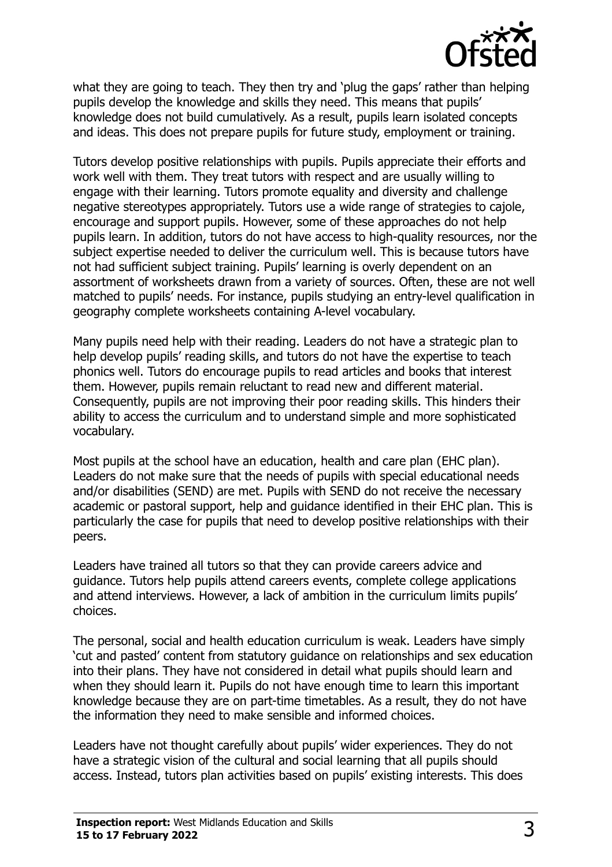

what they are going to teach. They then try and 'plug the gaps' rather than helping pupils develop the knowledge and skills they need. This means that pupils' knowledge does not build cumulatively. As a result, pupils learn isolated concepts and ideas. This does not prepare pupils for future study, employment or training.

Tutors develop positive relationships with pupils. Pupils appreciate their efforts and work well with them. They treat tutors with respect and are usually willing to engage with their learning. Tutors promote equality and diversity and challenge negative stereotypes appropriately. Tutors use a wide range of strategies to cajole, encourage and support pupils. However, some of these approaches do not help pupils learn. In addition, tutors do not have access to high-quality resources, nor the subject expertise needed to deliver the curriculum well. This is because tutors have not had sufficient subject training. Pupils' learning is overly dependent on an assortment of worksheets drawn from a variety of sources. Often, these are not well matched to pupils' needs. For instance, pupils studying an entry-level qualification in geography complete worksheets containing A-level vocabulary.

Many pupils need help with their reading. Leaders do not have a strategic plan to help develop pupils' reading skills, and tutors do not have the expertise to teach phonics well. Tutors do encourage pupils to read articles and books that interest them. However, pupils remain reluctant to read new and different material. Consequently, pupils are not improving their poor reading skills. This hinders their ability to access the curriculum and to understand simple and more sophisticated vocabulary.

Most pupils at the school have an education, health and care plan (EHC plan). Leaders do not make sure that the needs of pupils with special educational needs and/or disabilities (SEND) are met. Pupils with SEND do not receive the necessary academic or pastoral support, help and guidance identified in their EHC plan. This is particularly the case for pupils that need to develop positive relationships with their peers.

Leaders have trained all tutors so that they can provide careers advice and guidance. Tutors help pupils attend careers events, complete college applications and attend interviews. However, a lack of ambition in the curriculum limits pupils' choices.

The personal, social and health education curriculum is weak. Leaders have simply 'cut and pasted' content from statutory guidance on relationships and sex education into their plans. They have not considered in detail what pupils should learn and when they should learn it. Pupils do not have enough time to learn this important knowledge because they are on part-time timetables. As a result, they do not have the information they need to make sensible and informed choices.

Leaders have not thought carefully about pupils' wider experiences. They do not have a strategic vision of the cultural and social learning that all pupils should access. Instead, tutors plan activities based on pupils' existing interests. This does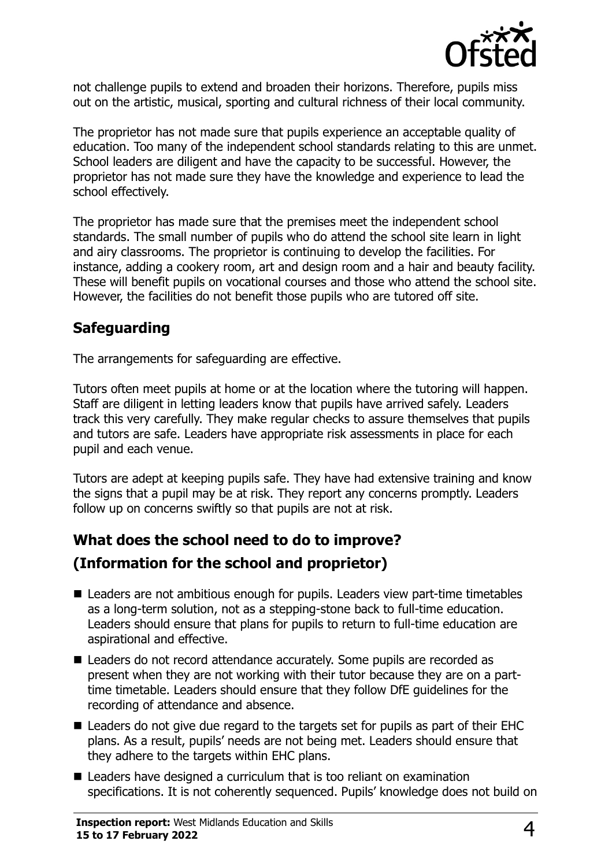

not challenge pupils to extend and broaden their horizons. Therefore, pupils miss out on the artistic, musical, sporting and cultural richness of their local community.

The proprietor has not made sure that pupils experience an acceptable quality of education. Too many of the independent school standards relating to this are unmet. School leaders are diligent and have the capacity to be successful. However, the proprietor has not made sure they have the knowledge and experience to lead the school effectively.

The proprietor has made sure that the premises meet the independent school standards. The small number of pupils who do attend the school site learn in light and airy classrooms. The proprietor is continuing to develop the facilities. For instance, adding a cookery room, art and design room and a hair and beauty facility. These will benefit pupils on vocational courses and those who attend the school site. However, the facilities do not benefit those pupils who are tutored off site.

# **Safeguarding**

The arrangements for safeguarding are effective.

Tutors often meet pupils at home or at the location where the tutoring will happen. Staff are diligent in letting leaders know that pupils have arrived safely. Leaders track this very carefully. They make regular checks to assure themselves that pupils and tutors are safe. Leaders have appropriate risk assessments in place for each pupil and each venue.

Tutors are adept at keeping pupils safe. They have had extensive training and know the signs that a pupil may be at risk. They report any concerns promptly. Leaders follow up on concerns swiftly so that pupils are not at risk.

# **What does the school need to do to improve? (Information for the school and proprietor)**

- Leaders are not ambitious enough for pupils. Leaders view part-time timetables as a long-term solution, not as a stepping-stone back to full-time education. Leaders should ensure that plans for pupils to return to full-time education are aspirational and effective.
- Leaders do not record attendance accurately. Some pupils are recorded as present when they are not working with their tutor because they are on a parttime timetable. Leaders should ensure that they follow DfE guidelines for the recording of attendance and absence.
- Leaders do not give due regard to the targets set for pupils as part of their EHC plans. As a result, pupils' needs are not being met. Leaders should ensure that they adhere to the targets within EHC plans.
- Leaders have designed a curriculum that is too reliant on examination specifications. It is not coherently sequenced. Pupils' knowledge does not build on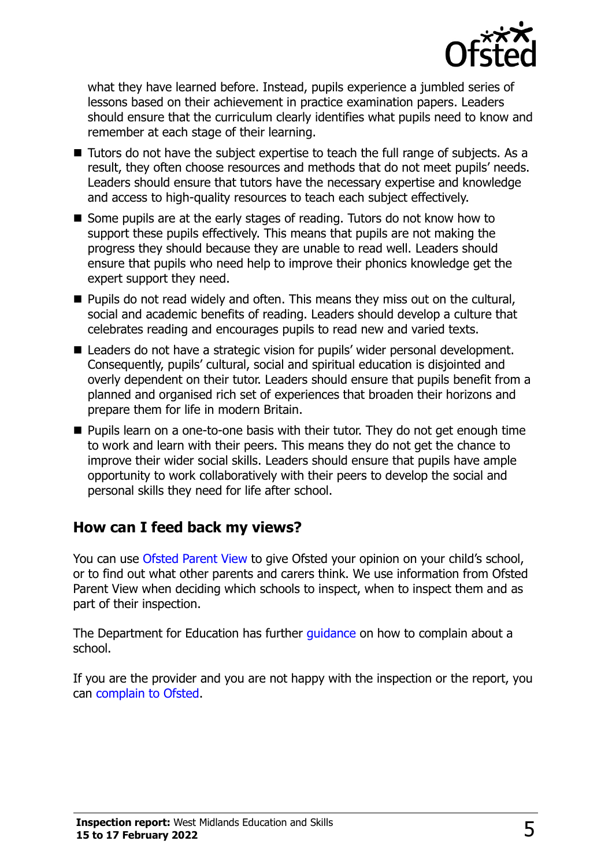

what they have learned before. Instead, pupils experience a jumbled series of lessons based on their achievement in practice examination papers. Leaders should ensure that the curriculum clearly identifies what pupils need to know and remember at each stage of their learning.

- Tutors do not have the subject expertise to teach the full range of subjects. As a result, they often choose resources and methods that do not meet pupils' needs. Leaders should ensure that tutors have the necessary expertise and knowledge and access to high-quality resources to teach each subject effectively.
- Some pupils are at the early stages of reading. Tutors do not know how to support these pupils effectively. This means that pupils are not making the progress they should because they are unable to read well. Leaders should ensure that pupils who need help to improve their phonics knowledge get the expert support they need.
- **Pupils do not read widely and often. This means they miss out on the cultural,** social and academic benefits of reading. Leaders should develop a culture that celebrates reading and encourages pupils to read new and varied texts.
- Leaders do not have a strategic vision for pupils' wider personal development. Consequently, pupils' cultural, social and spiritual education is disjointed and overly dependent on their tutor. Leaders should ensure that pupils benefit from a planned and organised rich set of experiences that broaden their horizons and prepare them for life in modern Britain.
- Pupils learn on a one-to-one basis with their tutor. They do not get enough time to work and learn with their peers. This means they do not get the chance to improve their wider social skills. Leaders should ensure that pupils have ample opportunity to work collaboratively with their peers to develop the social and personal skills they need for life after school.

## **How can I feed back my views?**

You can use [Ofsted Parent View](http://parentview.ofsted.gov.uk/) to give Ofsted your opinion on your child's school, or to find out what other parents and carers think. We use information from Ofsted Parent View when deciding which schools to inspect, when to inspect them and as part of their inspection.

The Department for Education has further quidance on how to complain about a school.

If you are the provider and you are not happy with the inspection or the report, you can [complain to Ofsted.](http://www.gov.uk/complain-ofsted-report)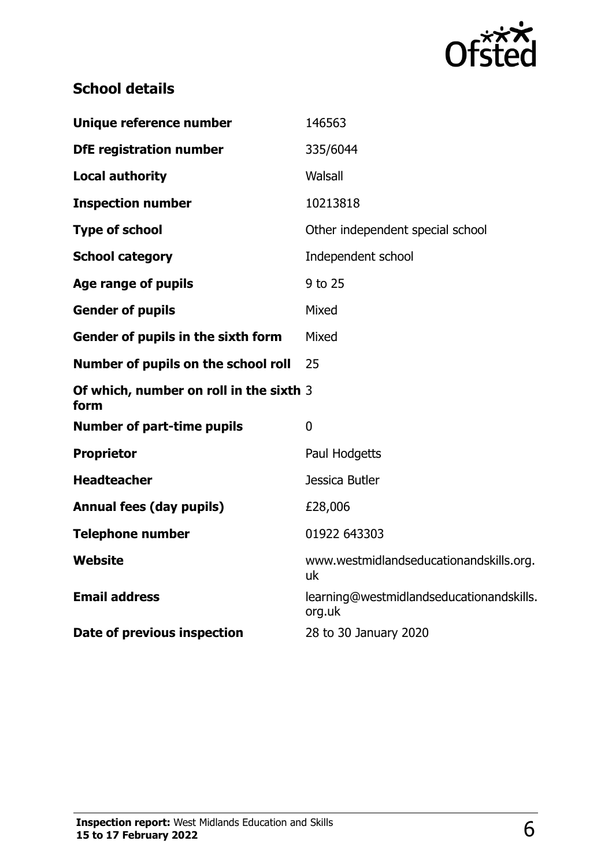

# **School details**

| Unique reference number                         | 146563                                             |
|-------------------------------------------------|----------------------------------------------------|
| <b>DfE registration number</b>                  | 335/6044                                           |
| <b>Local authority</b>                          | Walsall                                            |
| <b>Inspection number</b>                        | 10213818                                           |
| <b>Type of school</b>                           | Other independent special school                   |
| <b>School category</b>                          | Independent school                                 |
| Age range of pupils                             | 9 to 25                                            |
| <b>Gender of pupils</b>                         | Mixed                                              |
| Gender of pupils in the sixth form              | Mixed                                              |
| Number of pupils on the school roll             | 25                                                 |
| Of which, number on roll in the sixth 3<br>form |                                                    |
| <b>Number of part-time pupils</b>               | $\mathbf{0}$                                       |
| <b>Proprietor</b>                               | Paul Hodgetts                                      |
| <b>Headteacher</b>                              | Jessica Butler                                     |
| <b>Annual fees (day pupils)</b>                 | £28,006                                            |
| <b>Telephone number</b>                         | 01922 643303                                       |
| Website                                         | www.westmidlandseducationandskills.org.<br>uk      |
| <b>Email address</b>                            | learning@westmidlandseducationandskills.<br>org.uk |
| Date of previous inspection                     | 28 to 30 January 2020                              |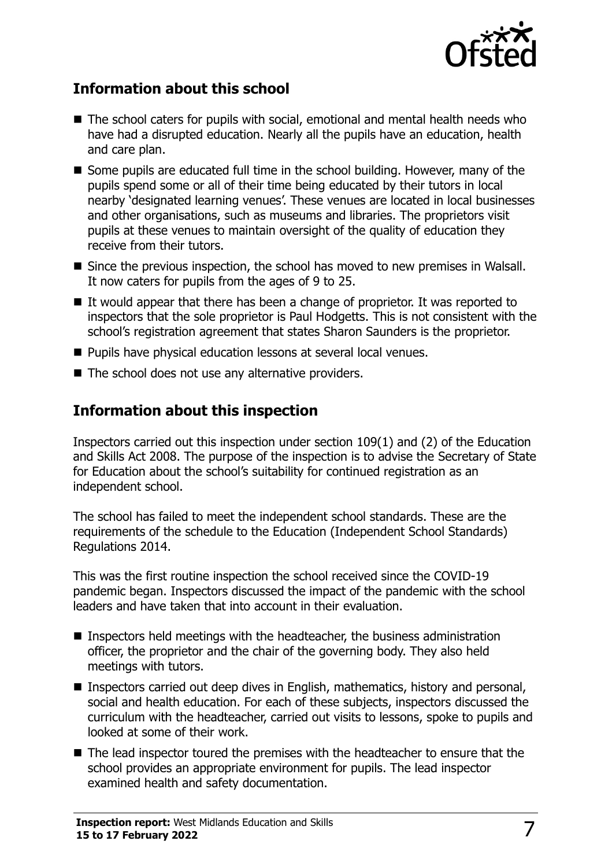

# **Information about this school**

- The school caters for pupils with social, emotional and mental health needs who have had a disrupted education. Nearly all the pupils have an education, health and care plan.
- Some pupils are educated full time in the school building. However, many of the pupils spend some or all of their time being educated by their tutors in local nearby 'designated learning venues'. These venues are located in local businesses and other organisations, such as museums and libraries. The proprietors visit pupils at these venues to maintain oversight of the quality of education they receive from their tutors.
- Since the previous inspection, the school has moved to new premises in Walsall. It now caters for pupils from the ages of 9 to 25.
- It would appear that there has been a change of proprietor. It was reported to inspectors that the sole proprietor is Paul Hodgetts. This is not consistent with the school's registration agreement that states Sharon Saunders is the proprietor.
- **Pupils have physical education lessons at several local venues.**
- The school does not use any alternative providers.

## **Information about this inspection**

Inspectors carried out this inspection under section 109(1) and (2) of the Education and Skills Act 2008. The purpose of the inspection is to advise the Secretary of State for Education about the school's suitability for continued registration as an independent school.

The school has failed to meet the independent school standards. These are the requirements of the schedule to the Education (Independent School Standards) Regulations 2014.

This was the first routine inspection the school received since the COVID-19 pandemic began. Inspectors discussed the impact of the pandemic with the school leaders and have taken that into account in their evaluation.

- **Inspectors held meetings with the headteacher, the business administration** officer, the proprietor and the chair of the governing body. They also held meetings with tutors.
- Inspectors carried out deep dives in English, mathematics, history and personal, social and health education. For each of these subjects, inspectors discussed the curriculum with the headteacher, carried out visits to lessons, spoke to pupils and looked at some of their work.
- The lead inspector toured the premises with the headteacher to ensure that the school provides an appropriate environment for pupils. The lead inspector examined health and safety documentation.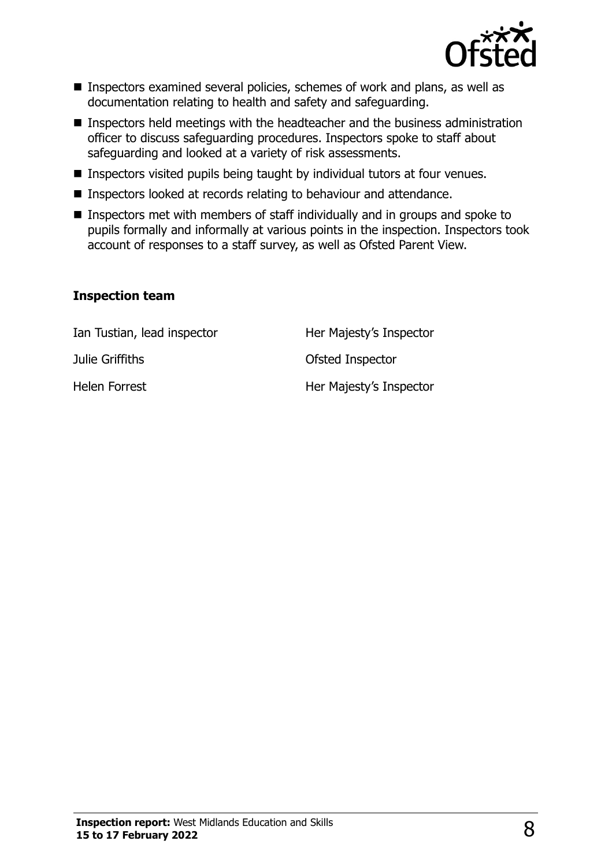

- Inspectors examined several policies, schemes of work and plans, as well as documentation relating to health and safety and safeguarding.
- Inspectors held meetings with the headteacher and the business administration officer to discuss safeguarding procedures. Inspectors spoke to staff about safeguarding and looked at a variety of risk assessments.
- **Inspectors visited pupils being taught by individual tutors at four venues.**
- **Inspectors looked at records relating to behaviour and attendance.**
- Inspectors met with members of staff individually and in groups and spoke to pupils formally and informally at various points in the inspection. Inspectors took account of responses to a staff survey, as well as Ofsted Parent View.

#### **Inspection team**

Ian Tustian, lead inspector **Her Majesty's Inspector** Julie Griffiths Ofsted Inspector Helen Forrest **Her Majesty's Inspector**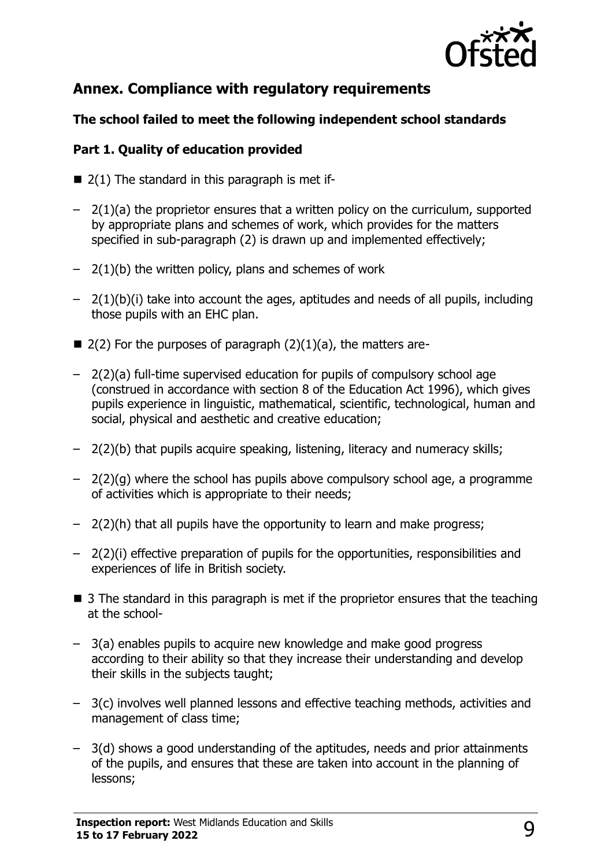

# **Annex. Compliance with regulatory requirements**

#### **The school failed to meet the following independent school standards**

#### **Part 1. Quality of education provided**

- $\blacksquare$  2(1) The standard in this paragraph is met if-
- 2(1)(a) the proprietor ensures that a written policy on the curriculum, supported by appropriate plans and schemes of work, which provides for the matters specified in sub-paragraph (2) is drawn up and implemented effectively;
- $-$  2(1)(b) the written policy, plans and schemes of work
- 2(1)(b)(i) take into account the ages, aptitudes and needs of all pupils, including those pupils with an EHC plan.
- $\blacksquare$  2(2) For the purposes of paragraph (2)(1)(a), the matters are-
- 2(2)(a) full-time supervised education for pupils of compulsory school age (construed in accordance with section 8 of the Education Act 1996), which gives pupils experience in linguistic, mathematical, scientific, technological, human and social, physical and aesthetic and creative education;
- 2(2)(b) that pupils acquire speaking, listening, literacy and numeracy skills;
- 2(2)(g) where the school has pupils above compulsory school age, a programme of activities which is appropriate to their needs;
- 2(2)(h) that all pupils have the opportunity to learn and make progress;
- 2(2)(i) effective preparation of pupils for the opportunities, responsibilities and experiences of life in British society.
- 3 The standard in this paragraph is met if the proprietor ensures that the teaching at the school-
- 3(a) enables pupils to acquire new knowledge and make good progress according to their ability so that they increase their understanding and develop their skills in the subjects taught;
- 3(c) involves well planned lessons and effective teaching methods, activities and management of class time;
- 3(d) shows a good understanding of the aptitudes, needs and prior attainments of the pupils, and ensures that these are taken into account in the planning of lessons;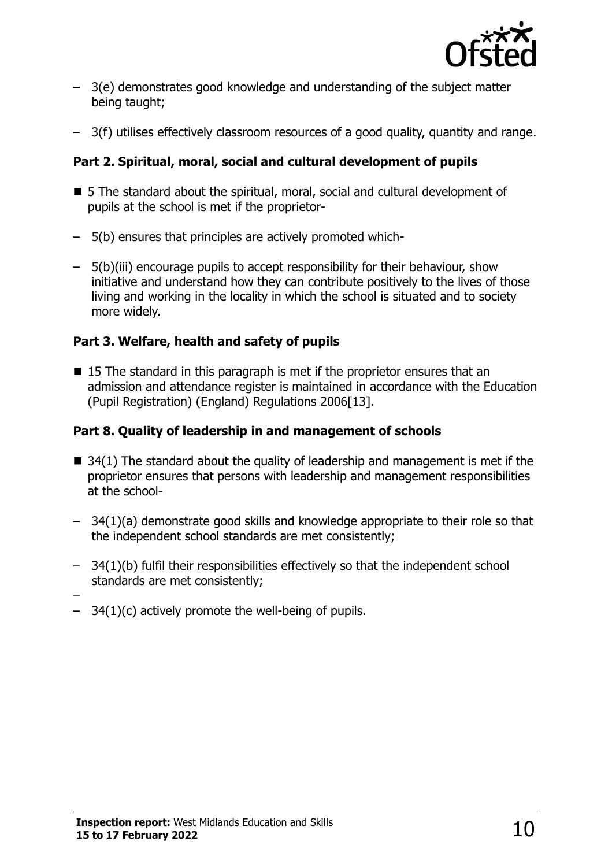

- 3(e) demonstrates good knowledge and understanding of the subject matter being taught;
- 3(f) utilises effectively classroom resources of a good quality, quantity and range.

#### **Part 2. Spiritual, moral, social and cultural development of pupils**

- 5 The standard about the spiritual, moral, social and cultural development of pupils at the school is met if the proprietor-
- 5(b) ensures that principles are actively promoted which-
- 5(b)(iii) encourage pupils to accept responsibility for their behaviour, show initiative and understand how they can contribute positively to the lives of those living and working in the locality in which the school is situated and to society more widely.

#### **Part 3. Welfare, health and safety of pupils**

■ 15 The standard in this paragraph is met if the proprietor ensures that an admission and attendance register is maintained in accordance with the Education (Pupil Registration) (England) Regulations 2006[13].

#### **Part 8. Quality of leadership in and management of schools**

- $\blacksquare$  34(1) The standard about the quality of leadership and management is met if the proprietor ensures that persons with leadership and management responsibilities at the school-
- 34(1)(a) demonstrate good skills and knowledge appropriate to their role so that the independent school standards are met consistently;
- 34(1)(b) fulfil their responsibilities effectively so that the independent school standards are met consistently;
- –
- $-$  34(1)(c) actively promote the well-being of pupils.